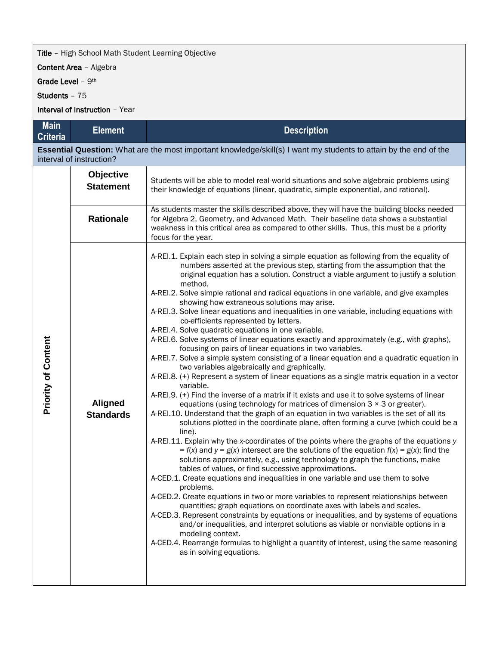## **Title** - High School Math Student Learning Objective

Content Area – Algebra

Grade Level - 9<sup>th</sup>

Students – 75

Interval of Instruction – Year

| <b>Main</b><br><b>Criteria</b>                                                                                                                       | <b>Element</b>                       | <b>Description</b>                                                                                                                                                                                                                                                                                                                                                                                                                                                                                                                                                                                                                                                                                                                                                                                                                                                                                                                                                                                                                                                                                                                                                                                                                                                                                                                                                                                                                                                                                                                                                                                                                                                                                                                                                                                                                                                                                                                                                                                                                                                                                                                                                                                                                                                                                                                                         |  |  |
|------------------------------------------------------------------------------------------------------------------------------------------------------|--------------------------------------|------------------------------------------------------------------------------------------------------------------------------------------------------------------------------------------------------------------------------------------------------------------------------------------------------------------------------------------------------------------------------------------------------------------------------------------------------------------------------------------------------------------------------------------------------------------------------------------------------------------------------------------------------------------------------------------------------------------------------------------------------------------------------------------------------------------------------------------------------------------------------------------------------------------------------------------------------------------------------------------------------------------------------------------------------------------------------------------------------------------------------------------------------------------------------------------------------------------------------------------------------------------------------------------------------------------------------------------------------------------------------------------------------------------------------------------------------------------------------------------------------------------------------------------------------------------------------------------------------------------------------------------------------------------------------------------------------------------------------------------------------------------------------------------------------------------------------------------------------------------------------------------------------------------------------------------------------------------------------------------------------------------------------------------------------------------------------------------------------------------------------------------------------------------------------------------------------------------------------------------------------------------------------------------------------------------------------------------------------------|--|--|
| <b>Essential Question:</b> What are the most important knowledge/skill(s) I want my students to attain by the end of the<br>interval of instruction? |                                      |                                                                                                                                                                                                                                                                                                                                                                                                                                                                                                                                                                                                                                                                                                                                                                                                                                                                                                                                                                                                                                                                                                                                                                                                                                                                                                                                                                                                                                                                                                                                                                                                                                                                                                                                                                                                                                                                                                                                                                                                                                                                                                                                                                                                                                                                                                                                                            |  |  |
|                                                                                                                                                      | <b>Objective</b><br><b>Statement</b> | Students will be able to model real-world situations and solve algebraic problems using<br>their knowledge of equations (linear, quadratic, simple exponential, and rational).                                                                                                                                                                                                                                                                                                                                                                                                                                                                                                                                                                                                                                                                                                                                                                                                                                                                                                                                                                                                                                                                                                                                                                                                                                                                                                                                                                                                                                                                                                                                                                                                                                                                                                                                                                                                                                                                                                                                                                                                                                                                                                                                                                             |  |  |
|                                                                                                                                                      | <b>Rationale</b>                     | As students master the skills described above, they will have the building blocks needed<br>for Algebra 2, Geometry, and Advanced Math. Their baseline data shows a substantial<br>weakness in this critical area as compared to other skills. Thus, this must be a priority<br>focus for the year.                                                                                                                                                                                                                                                                                                                                                                                                                                                                                                                                                                                                                                                                                                                                                                                                                                                                                                                                                                                                                                                                                                                                                                                                                                                                                                                                                                                                                                                                                                                                                                                                                                                                                                                                                                                                                                                                                                                                                                                                                                                        |  |  |
| <b>Priority of Content</b>                                                                                                                           | <b>Aligned</b><br><b>Standards</b>   | A-REI.1. Explain each step in solving a simple equation as following from the equality of<br>numbers asserted at the previous step, starting from the assumption that the<br>original equation has a solution. Construct a viable argument to justify a solution<br>method.<br>A-REI.2. Solve simple rational and radical equations in one variable, and give examples<br>showing how extraneous solutions may arise.<br>A-REI.3. Solve linear equations and inequalities in one variable, including equations with<br>co-efficients represented by letters.<br>A-REI.4. Solve quadratic equations in one variable.<br>A-REI.6. Solve systems of linear equations exactly and approximately (e.g., with graphs),<br>focusing on pairs of linear equations in two variables.<br>A-REI.7. Solve a simple system consisting of a linear equation and a quadratic equation in<br>two variables algebraically and graphically.<br>A-REI.8. (+) Represent a system of linear equations as a single matrix equation in a vector<br>variable.<br>A-REI.9. (+) Find the inverse of a matrix if it exists and use it to solve systems of linear<br>equations (using technology for matrices of dimension $3 \times 3$ or greater).<br>A-REI.10. Understand that the graph of an equation in two variables is the set of all its<br>solutions plotted in the coordinate plane, often forming a curve (which could be a<br>line).<br>A-REI.11. Explain why the x-coordinates of the points where the graphs of the equations y<br>$f(x)$ and $y = g(x)$ intersect are the solutions of the equation $f(x) = g(x)$ ; find the<br>solutions approximately, e.g., using technology to graph the functions, make<br>tables of values, or find successive approximations.<br>A-CED.1. Create equations and inequalities in one variable and use them to solve<br>problems.<br>A-CED.2. Create equations in two or more variables to represent relationships between<br>quantities; graph equations on coordinate axes with labels and scales.<br>A-CED.3. Represent constraints by equations or inequalities, and by systems of equations<br>and/or inequalities, and interpret solutions as viable or nonviable options in a<br>modeling context.<br>A-CED.4. Rearrange formulas to highlight a quantity of interest, using the same reasoning<br>as in solving equations. |  |  |